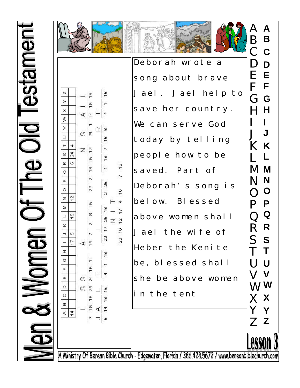



 $\tilde{=}$ 

∩⊻∣ ம

 $\frac{6}{1}$ 

 $\frac{6}{5}$ 

 $\overline{ }$ 

29

 $\overline{c}$ 

 $\frac{6}{5}$ 

 $\frac{25}{2}$ 

 $17$ 

 $\mathbb{R}$ 

 $\frac{6}{1}$ 

 $\frac{6}{5}$ 

∢∣≠

⊃|ശ

ś,

 $18$ 

 $\vec{r}$ 

Z P

 $\frac{16}{2}$ 

Ŕ

뜨

Ψ

∢∣∄

이론

 $|z|$ 

۴Ŕ

 $rac{\alpha}{\pi}$ 

 $\sim$ 

 $\tilde{c}$ 

۴Ŕ

 $\alpha$ 

 $\Delta$ 

K.

Ξ

Ψ

۴

c:|₹

이치

치분

 $\geq$ 

 $\times$ 

 $\tilde{\mathbf{x}}$ 

 $\Rightarrow$ 

 $\alpha$ 

 $\alpha$ 

 $\circ$ 

Σ

×

**II** 

Ö

Щ ш

 $\triangle$ 

 $\ddot{\circ}$ 

 $\square$ 

 $14$  $\,<$ 

4

24 Ø.

 $\circ$ œ

 $\overline{2}$  $\mathbf{z}$ 

 $\frac{15}{4}$  $\Box$ 

Ø.  $\overline{\phantom{a}}$ 

 $17$ 



Deborah wrote a song about brave Jael. Jael help to save her country. We can serve God today by telling people how to be saved. Part of Deborah's song is below. Blessed above women shall Jael the wife of Heber the Kenite be, blessed shall she be above women in the tent

**A B C D E F G H I J K L M N O P Q R** R **S T U V W X Y Z**  A B C D E F G H I J K L M N O P Q S T U V W X Y Z

A Ministry Of Berean Bible Church - Edgewater, Florida / 386.428.5672 / www.bereanbiblechurch.com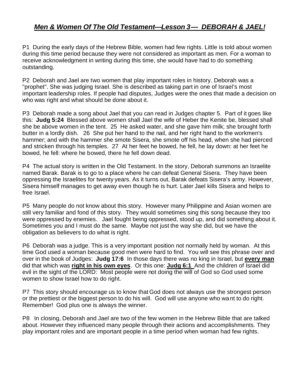## *Men & Women Of The Old Testament—Lesson 3— DEBORAH & JAEL!*

P1 During the early days of the Hebrew Bible, women had few rights. Little is told about women during this time period because they were not considered as important as men. For a woman to receive acknowledgment in writing during this time, she would have had to do something outstanding.

P2 Deborah and Jael are two women that play important roles in history. Deborah was a "prophet". She was judging Israel. She is described as taking part in one of Israel's most important leadership roles. If people had disputes, Judges were the ones that made a decision on who was right and what should be done about it.

P3 Deborah made a song about Jael that you can read in Judges chapter 5. Part of it goes like this: **Judg 5:24** Blessed above women shall Jael the wife of Heber the Kenite be, blessed shall she be above women in the tent. 25 He asked water, and she gave him milk; she brought forth butter in a lordly dish. 26 She put her hand to the nail, and her right hand to the workmen's hammer; and with the hammer she smote Sisera, she smote off his head, when she had pierced and stricken through his temples. 27 At her feet he bowed, he fell, he lay down: at her feet he bowed, he fell: where he bowed, there he fell down dead.

P4 The actual story is written in the Old Testament. In the story, Deborah summons an Israelite named Barak. Barak is to go to a place where he can defeat General Sisera. They have been oppressing the Israelites for twenty years. As it turns out, Barak defeats Sisera's army. However, Sisera himself manages to get away even though he is hurt. Later Jael kills Sisera and helps to free Israel.

P5 Many people do not know about this story. However many Philippine and Asian women are still very familiar and fond of this story. They would sometimes sing this song because they too were oppressed by enemies. Jael fought being oppressed, stood up, and did something about it. Sometimes you and I must do the same. Maybe not just the way she did, but we have the obligation as believers to do what is right.

P6 Deborah was a judge. This is a very important position not normally held by woman. At this time God used a woman because good men were hard to find. You will see this phrase over and over in the book of Judges: **Judg 17:6** In those days there was no king in Israel, but **every man**  did that which was **right in his own eyes**. Or this one: **Judg 6:1** And the children of Israel did evil in the sight of the LORD: Most people were not doing the will of God so God used some women to show Israel how to do right.

P7 This story should encourage us to know that God does not always use the strongest person or the prettiest or the biggest person to do his will. God will use anyone who want to do right. Remember! God plus one is always the winner.

P8 In closing, Deborah and Jael are two of the few women in the Hebrew Bible that are talked about. However they influenced many people through their actions and accomplishments. They play important roles and are important people in a time period when woman had few rights.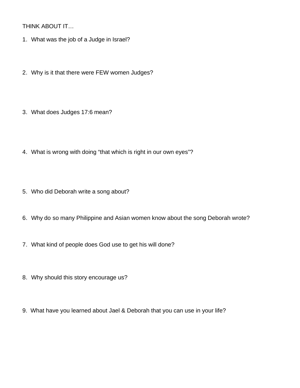THINK ABOUT IT…

- 1. What was the job of a Judge in Israel?
- 2. Why is it that there were FEW women Judges?
- 3. What does Judges 17:6 mean?
- 4. What is wrong with doing "that which is right in our own eyes"?
- 5. Who did Deborah write a song about?
- 6. Why do so many Philippine and Asian women know about the song Deborah wrote?
- 7. What kind of people does God use to get his will done?
- 8. Why should this story encourage us?
- 9. What have you learned about Jael & Deborah that you can use in your life?